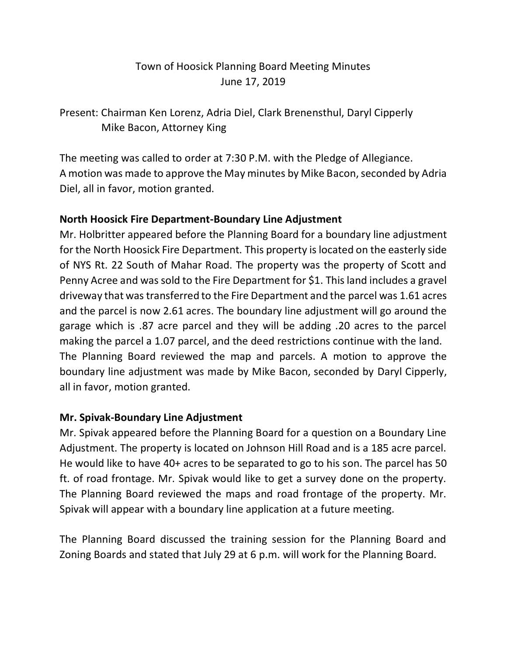## Town of Hoosick Planning Board Meeting Minutes June 17, 2019

Present: Chairman Ken Lorenz, Adria Diel, Clark Brenensthul, Daryl Cipperly Mike Bacon, Attorney King

The meeting was called to order at 7:30 P.M. with the Pledge of Allegiance. A motion was made to approve the May minutes by Mike Bacon, seconded by Adria Diel, all in favor, motion granted.

## **North Hoosick Fire Department-Boundary Line Adjustment**

Mr. Holbritter appeared before the Planning Board for a boundary line adjustment for the North Hoosick Fire Department. This property is located on the easterly side of NYS Rt. 22 South of Mahar Road. The property was the property of Scott and Penny Acree and was sold to the Fire Department for \$1. This land includes a gravel driveway that was transferred to the Fire Department and the parcel was 1.61 acres and the parcel is now 2.61 acres. The boundary line adjustment will go around the garage which is .87 acre parcel and they will be adding .20 acres to the parcel making the parcel a 1.07 parcel, and the deed restrictions continue with the land. The Planning Board reviewed the map and parcels. A motion to approve the boundary line adjustment was made by Mike Bacon, seconded by Daryl Cipperly, all in favor, motion granted.

## **Mr. Spivak-Boundary Line Adjustment**

Mr. Spivak appeared before the Planning Board for a question on a Boundary Line Adjustment. The property is located on Johnson Hill Road and is a 185 acre parcel. He would like to have 40+ acres to be separated to go to his son. The parcel has 50 ft. of road frontage. Mr. Spivak would like to get a survey done on the property. The Planning Board reviewed the maps and road frontage of the property. Mr. Spivak will appear with a boundary line application at a future meeting.

The Planning Board discussed the training session for the Planning Board and Zoning Boards and stated that July 29 at 6 p.m. will work for the Planning Board.